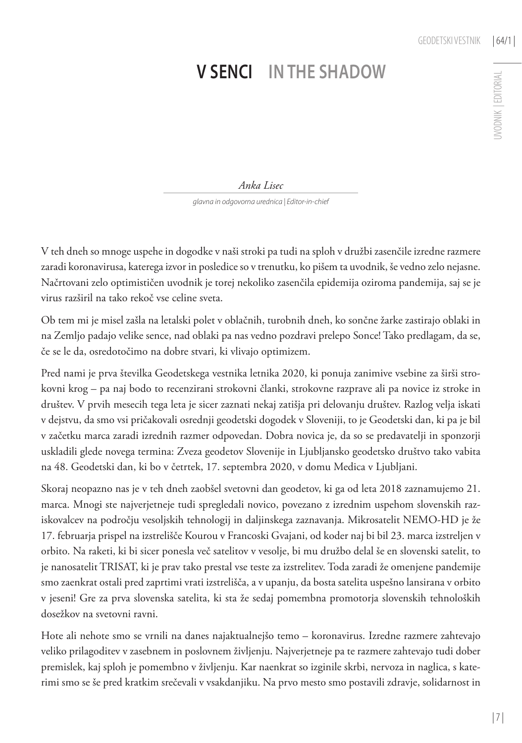UVODNIK | EDITORIAL

**JVODNIK | EDITORIAL** 

## **V senci In the shadow**

*Anka Lisec*

*glavna in odgovorna urednica | Editor-in-chief*

V teh dneh so mnoge uspehe in dogodke v naši stroki pa tudi na sploh v družbi zasenčile izredne razmere zaradi koronavirusa, katerega izvor in posledice so v trenutku, ko pišem ta uvodnik, še vedno zelo nejasne. Načrtovani zelo optimističen uvodnik je torej nekoliko zasenčila epidemija oziroma pandemija, saj se je virus razširil na tako rekoč vse celine sveta.

Ob tem mi je misel zašla na letalski polet v oblačnih, turobnih dneh, ko sončne žarke zastirajo oblaki in na Zemljo padajo velike sence, nad oblaki pa nas vedno pozdravi prelepo Sonce! Tako predlagam, da se, če se le da, osredotočimo na dobre stvari, ki vlivajo optimizem.

Pred nami je prva številka Geodetskega vestnika letnika 2020, ki ponuja zanimive vsebine za širši strokovni krog – pa naj bodo to recenzirani strokovni članki, strokovne razprave ali pa novice iz stroke in društev. V prvih mesecih tega leta je sicer zaznati nekaj zatišja pri delovanju društev. Razlog velja iskati v dejstvu, da smo vsi pričakovali osrednji geodetski dogodek v Sloveniji, to je Geodetski dan, ki pa je bil v začetku marca zaradi izrednih razmer odpovedan. Dobra novica je, da so se predavatelji in sponzorji uskladili glede novega termina: Zveza geodetov Slovenije in Ljubljansko geodetsko društvo tako vabita na 48. Geodetski dan, ki bo v četrtek, 17. septembra 2020, v domu Medica v Ljubljani.

Skoraj neopazno nas je v teh dneh zaobšel svetovni dan geodetov, ki ga od leta 2018 zaznamujemo 21. marca. Mnogi ste najverjetneje tudi spregledali novico, povezano z izrednim uspehom slovenskih raziskovalcev na področju vesoljskih tehnologij in daljinskega zaznavanja. Mikrosatelit NEMO-HD je že 17. februarja prispel na izstrelišče Kourou v Francoski Gvajani, od koder naj bi bil 23. marca izstreljen v orbito. Na raketi, ki bi sicer ponesla več satelitov v vesolje, bi mu družbo delal še en slovenski satelit, to je nanosatelit TRISAT, ki je prav tako prestal vse teste za izstrelitev. Toda zaradi že omenjene pandemije smo zaenkrat ostali pred zaprtimi vrati izstrelišča, a v upanju, da bosta satelita uspešno lansirana v orbito v jeseni! Gre za prva slovenska satelita, ki sta že sedaj pomembna promotorja slovenskih tehnoloških dosežkov na svetovni ravni.

Hote ali nehote smo se vrnili na danes najaktualnejšo temo – koronavirus. Izredne razmere zahtevajo veliko prilagoditev v zasebnem in poslovnem življenju. Najverjetneje pa te razmere zahtevajo tudi dober premislek, kaj sploh je pomembno v življenju. Kar naenkrat so izginile skrbi, nervoza in naglica, s katerimi smo se še pred kratkim srečevali v vsakdanjiku. Na prvo mesto smo postavili zdravje, solidarnost in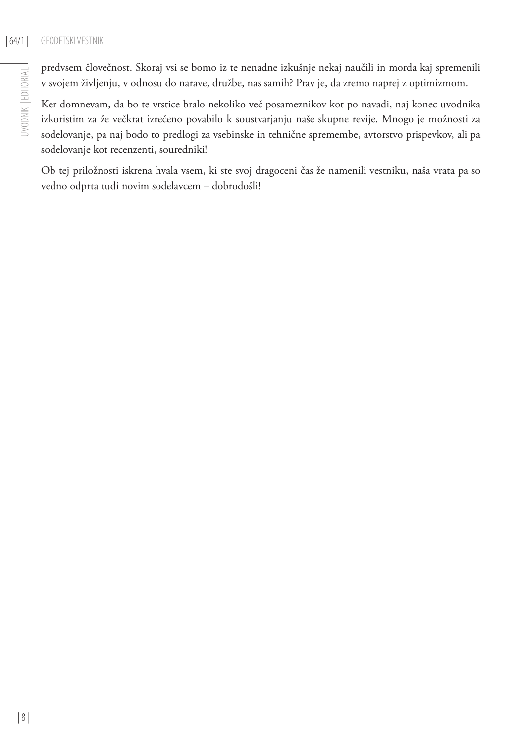## | 64/1 | GEODETSKI VESTNIK

predvsem človečnost. Skoraj vsi se bomo iz te nenadne izkušnje nekaj naučili in morda kaj spremenili v svojem življenju, v odnosu do narave, družbe, nas samih? Prav je, da zremo naprej z optimizmom.

Ker domnevam, da bo te vrstice bralo nekoliko več posameznikov kot po navadi, naj konec uvodnika izkoristim za že večkrat izrečeno povabilo k soustvarjanju naše skupne revije. Mnogo je možnosti za sodelovanje, pa naj bodo to predlogi za vsebinske in tehnične spremembe, avtorstvo prispevkov, ali pa sodelovanje kot recenzenti, souredniki!

Ob tej priložnosti iskrena hvala vsem, ki ste svoj dragoceni čas že namenili vestniku, naša vrata pa so vedno odprta tudi novim sodelavcem – dobrodošli!